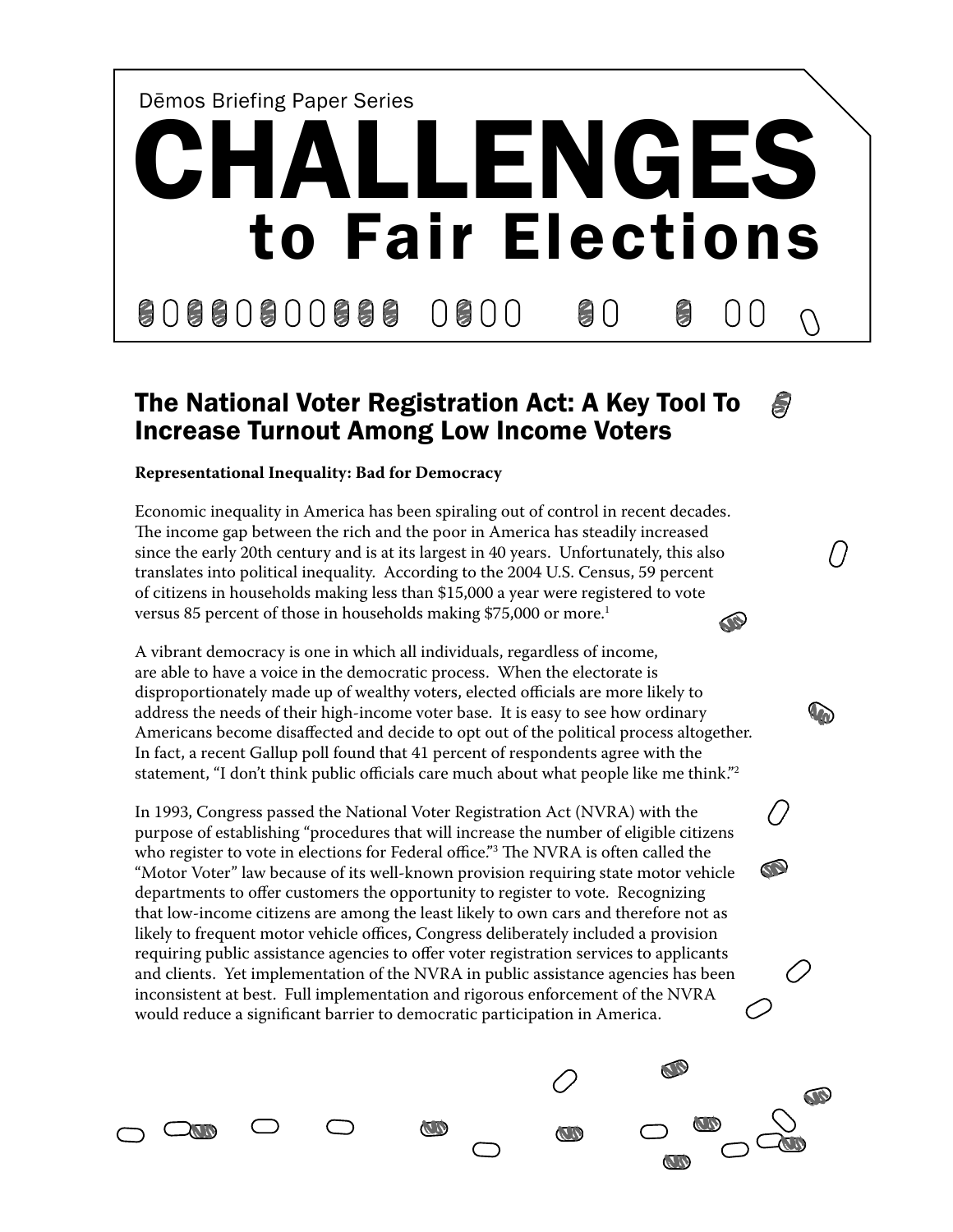

#### The National Voter Registration Act: A Key Tool To B Increase Turnout Among Low Income Voters

 $\sqrt{ }$ 

**V**o

B

B

**CO** 

**CD** 

**CD** 

#### **Representational Inequality: Bad for Democracy**

Economic inequality in America has been spiraling out of control in recent decades. The income gap between the rich and the poor in America has steadily increased since the early 20th century and is at its largest in 40 years. Unfortunately, this also translates into political inequality. According to the 2004 U.S. Census, 59 percent of citizens in households making less than \$15,000 a year were registered to vote versus 85 percent of those in households making \$75,000 or more.<sup>1</sup> **KO** 

A vibrant democracy is one in which all individuals, regardless of income, are able to have a voice in the democratic process. When the electorate is disproportionately made up of wealthy voters, elected officials are more likely to address the needs of their high-income voter base. It is easy to see how ordinary Americans become disaffected and decide to opt out of the political process altogether. In fact, a recent Gallup poll found that 41 percent of respondents agree with the statement, "I don't think public officials care much about what people like me think."2

In 1993, Congress passed the National Voter Registration Act (NVRA) with the purpose of establishing "procedures that will increase the number of eligible citizens who register to vote in elections for Federal office."3 The NVRA is often called the "Motor Voter" law because of its well-known provision requiring state motor vehicle departments to offer customers the opportunity to register to vote. Recognizing that low-income citizens are among the least likely to own cars and therefore not as likely to frequent motor vehicle offices, Congress deliberately included a provision requiring public assistance agencies to offer voter registration services to applicants and clients. Yet implementation of the NVRA in public assistance agencies has been inconsistent at best. Full implementation and rigorous enforcement of the NVRA would reduce a significant barrier to democratic participation in America.

**KID** 

**ALIO**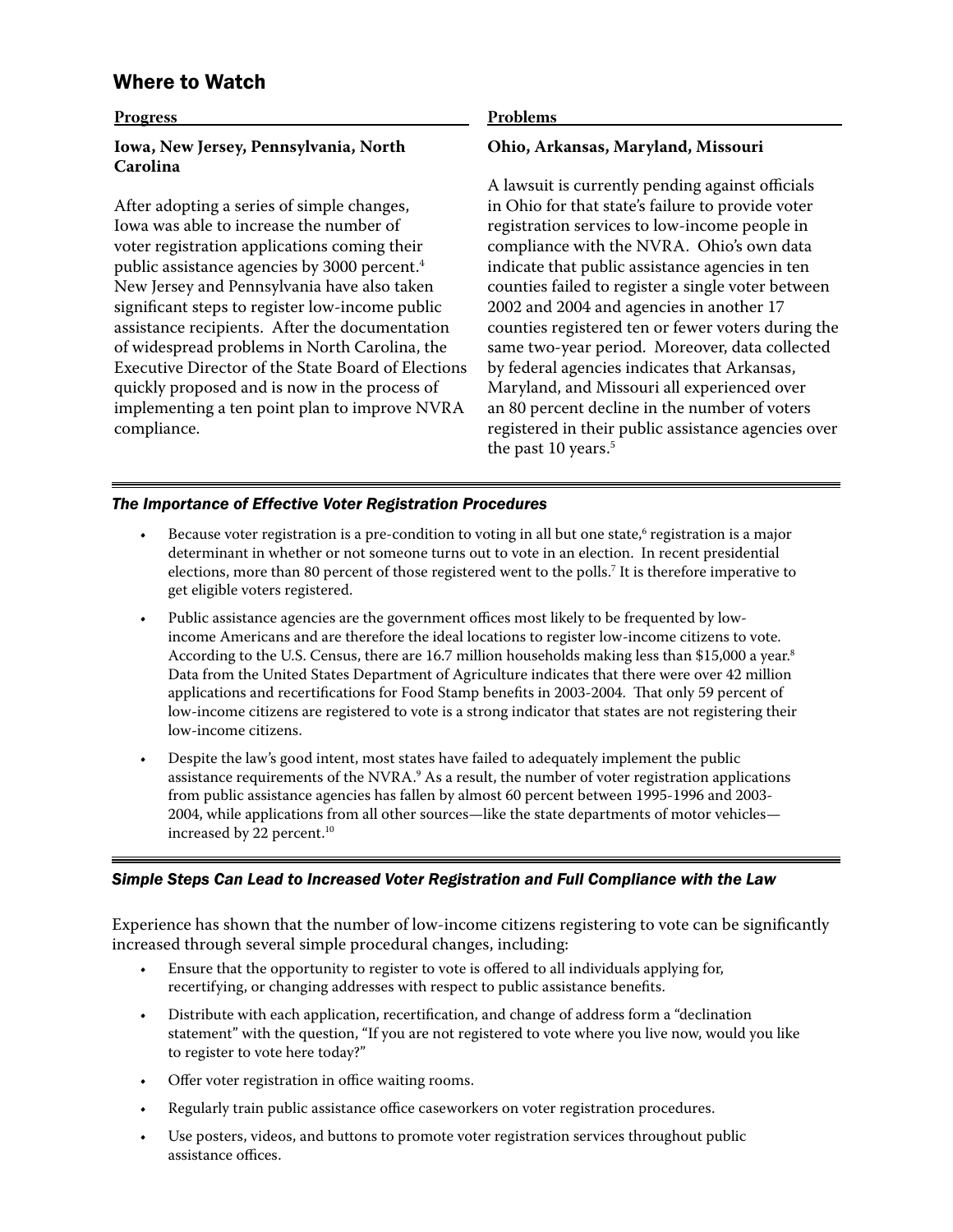# Where to Watch

## **Progress Iowa, New Jersey, Pennsylvania, North Carolina**

After adopting a series of simple changes, Iowa was able to increase the number of voter registration applications coming their public assistance agencies by 3000 percent.<sup>4</sup> New Jersey and Pennsylvania have also taken significant steps to register low-income public assistance recipients. After the documentation of widespread problems in North Carolina, the Executive Director of the State Board of Elections quickly proposed and is now in the process of implementing a ten point plan to improve NVRA compliance.

#### **Problems**

#### **Ohio, Arkansas, Maryland, Missouri**

A lawsuit is currently pending against officials in Ohio for that state's failure to provide voter registration services to low-income people in compliance with the NVRA. Ohio's own data indicate that public assistance agencies in ten counties failed to register a single voter between 2002 and 2004 and agencies in another 17 counties registered ten or fewer voters during the same two-year period. Moreover, data collected by federal agencies indicates that Arkansas, Maryland, and Missouri all experienced over an 80 percent decline in the number of voters registered in their public assistance agencies over the past 10 years.<sup>5</sup>

#### *The Importance of Effective Voter Registration Procedures*

- Because voter registration is a pre-condition to voting in all but one state,<sup>6</sup> registration is a major determinant in whether or not someone turns out to vote in an election. In recent presidential elections, more than 80 percent of those registered went to the polls.7 It is therefore imperative to get eligible voters registered. •
- Public assistance agencies are the government offices most likely to be frequented by lowincome Americans and are therefore the ideal locations to register low-income citizens to vote. According to the U.S. Census, there are 16.7 million households making less than \$15,000 a year.<sup>8</sup> Data from the United States Department of Agriculture indicates that there were over 42 million applications and recertifications for Food Stamp benefits in 2003-2004. That only 59 percent of low-income citizens are registered to vote is a strong indicator that states are not registering their low-income citizens. •
- Despite the law's good intent, most states have failed to adequately implement the public assistance requirements of the NVRA. $\textdegree$  As a result, the number of voter registration applications from public assistance agencies has fallen by almost 60 percent between 1995-1996 and 2003- 2004, while applications from all other sources—like the state departments of motor vehicles increased by 22 percent.<sup>10</sup> •

### *Simple Steps Can Lead to Increased Voter Registration and Full Compliance with the Law*

Experience has shown that the number of low-income citizens registering to vote can be significantly increased through several simple procedural changes, including:

- Ensure that the opportunity to register to vote is offered to all individuals applying for, recertifying, or changing addresses with respect to public assistance benefits. •
- Distribute with each application, recertification, and change of address form a "declination statement" with the question, "If you are not registered to vote where you live now, would you like to register to vote here today?" •
- Offer voter registration in office waiting rooms. •
- Regularly train public assistance office caseworkers on voter registration procedures. •
- Use posters, videos, and buttons to promote voter registration services throughout public assistance offices. •